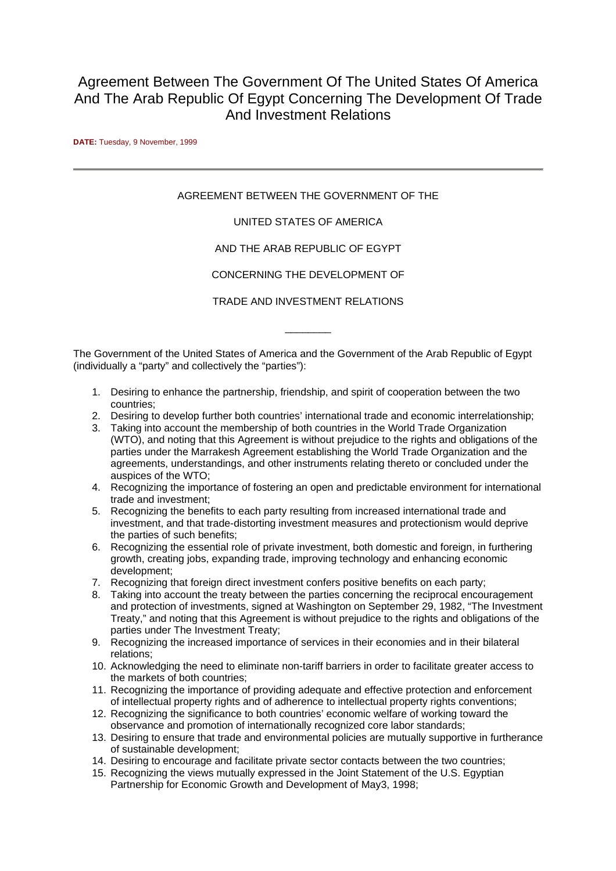# Agreement Between The Government Of The United States Of America And The Arab Republic Of Egypt Concerning The Development Of Trade And Investment Relations

**DATE:** Tuesday, 9 November, 1999

# AGREEMENT BETWEEN THE GOVERNMENT OF THE

## UNITED STATES OF AMERICA

## AND THE ARAB REPUBLIC OF EGYPT

## CONCERNING THE DEVELOPMENT OF

TRADE AND INVESTMENT RELATIONS

\_\_\_\_\_\_\_\_

The Government of the United States of America and the Government of the Arab Republic of Egypt (individually a "party" and collectively the "parties"):

- 1. Desiring to enhance the partnership, friendship, and spirit of cooperation between the two countries;
- 2. Desiring to develop further both countries' international trade and economic interrelationship;
- 3. Taking into account the membership of both countries in the World Trade Organization (WTO), and noting that this Agreement is without prejudice to the rights and obligations of the parties under the Marrakesh Agreement establishing the World Trade Organization and the agreements, understandings, and other instruments relating thereto or concluded under the auspices of the WTO;
- 4. Recognizing the importance of fostering an open and predictable environment for international trade and investment;
- 5. Recognizing the benefits to each party resulting from increased international trade and investment, and that trade-distorting investment measures and protectionism would deprive the parties of such benefits;
- 6. Recognizing the essential role of private investment, both domestic and foreign, in furthering growth, creating jobs, expanding trade, improving technology and enhancing economic development;
- 7. Recognizing that foreign direct investment confers positive benefits on each party;
- 8. Taking into account the treaty between the parties concerning the reciprocal encouragement and protection of investments, signed at Washington on September 29, 1982, "The Investment Treaty," and noting that this Agreement is without prejudice to the rights and obligations of the parties under The Investment Treaty;
- 9. Recognizing the increased importance of services in their economies and in their bilateral relations;
- 10. Acknowledging the need to eliminate non-tariff barriers in order to facilitate greater access to the markets of both countries;
- 11. Recognizing the importance of providing adequate and effective protection and enforcement of intellectual property rights and of adherence to intellectual property rights conventions;
- 12. Recognizing the significance to both countries' economic welfare of working toward the observance and promotion of internationally recognized core labor standards;
- 13. Desiring to ensure that trade and environmental policies are mutually supportive in furtherance of sustainable development;
- 14. Desiring to encourage and facilitate private sector contacts between the two countries;
- 15. Recognizing the views mutually expressed in the Joint Statement of the U.S. Egyptian Partnership for Economic Growth and Development of May3, 1998;